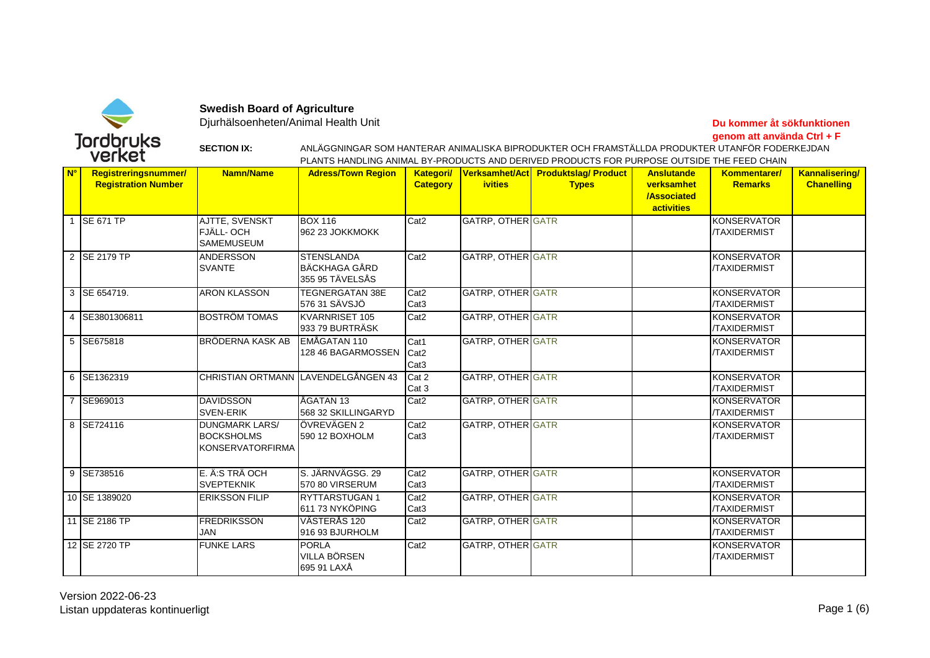

**Swedish Board of Agriculture**

Djurhälsoenheten/Animal Health Unit

**Du kommer åt sökfunktionen genom att använda Ctrl + F**

**SECTION IX:**

PLANTS HANDLING ANIMAL BY-PRODUCTS AND DERIVED PRODUCTS FOR PURPOSE OUTSIDE THE FEED CHAIN ANLÄGGNINGAR SOM HANTERAR ANIMALISKA BIPRODUKTER OCH FRAMSTÄLLDA PRODUKTER UTANFÖR FODERKEJDAN

| <mark>N°</mark> | Registreringsnummer/<br><b>Registration Number</b> | <b>Namn/Name</b>                                                      | <b>Adress/Town Region</b>                                    | <b>Kategori/</b><br><b>Category</b>          | <b>ivities</b>           | Verksamhet/Act Produktslag/Product<br><b>Types</b> | <b>Anslutande</b><br>verksamhet<br><b>/Associated</b><br><b>activities</b> | Kommentarer/<br><b>Remarks</b>            | <b>Kannalisering/</b><br><b>Chanelling</b> |
|-----------------|----------------------------------------------------|-----------------------------------------------------------------------|--------------------------------------------------------------|----------------------------------------------|--------------------------|----------------------------------------------------|----------------------------------------------------------------------------|-------------------------------------------|--------------------------------------------|
|                 | <b>SE 671 TP</b>                                   | AJTTE, SVENSKT<br>FJÄLL- OCH<br><b>SAMEMUSEUM</b>                     | <b>BOX 116</b><br>962 23 JOKKMOKK                            | Cat <sub>2</sub>                             | <b>GATRP, OTHER GATR</b> |                                                    |                                                                            | KONSERVATOR<br><b>TAXIDERMIST</b>         |                                            |
|                 | 2 SE 2179 TP                                       | <b>ANDERSSON</b><br><b>SVANTE</b>                                     | <b>STENSLANDA</b><br><b>BÄCKHAGA GÅRD</b><br>355 95 TÄVELSÅS | Cat <sub>2</sub>                             | GATRP, OTHER GATR        |                                                    |                                                                            | KONSERVATOR<br><b>/TAXIDERMIST</b>        |                                            |
|                 | 3 SE 654719.                                       | <b>ARON KLASSON</b>                                                   | <b>TEGNERGATAN 38E</b><br>576 31 SÄVSJÖ                      | Cat <sub>2</sub><br>Cat <sub>3</sub>         | <b>GATRP, OTHER GATR</b> |                                                    |                                                                            | <b>KONSERVATOR</b><br><b>/TAXIDERMIST</b> |                                            |
|                 | 4 SE3801306811                                     | <b>BOSTRÖM TOMAS</b>                                                  | KVARNRISET 105<br>933 79 BURTRÄSK                            | Cat <sub>2</sub>                             | <b>GATRP, OTHER GATR</b> |                                                    |                                                                            | <b>KONSERVATOR</b><br><b>/TAXIDERMIST</b> |                                            |
|                 | 5 SE675818                                         | <b>BRÖDERNA KASK AB</b>                                               | EMÅGATAN 110<br>128 46 BAGARMOSSEN                           | Cat1<br>Cat <sub>2</sub><br>Cat <sub>3</sub> | <b>GATRP, OTHER GATR</b> |                                                    |                                                                            | KONSERVATOR<br><b>/TAXIDERMIST</b>        |                                            |
|                 | 6 SE1362319                                        |                                                                       | CHRISTIAN ORTMANN LAVENDELGÅNGEN 43                          | Cat 2<br>Cat 3                               | <b>GATRP, OTHER GATR</b> |                                                    |                                                                            | KONSERVATOR<br><b>/TAXIDERMIST</b>        |                                            |
|                 | 7 SE969013                                         | <b>DAVIDSSON</b><br><b>SVEN-ERIK</b>                                  | ÅGATAN 13<br>568 32 SKILLINGARYD                             | Cat <sub>2</sub>                             | <b>GATRP, OTHER GATR</b> |                                                    |                                                                            | <b>KONSERVATOR</b><br><b>/TAXIDERMIST</b> |                                            |
|                 | 8 SE724116                                         | <b>DUNGMARK LARS/</b><br><b>BOCKSHOLMS</b><br><b>KONSERVATORFIRMA</b> | ÖVREVÄGEN 2<br>590 12 BOXHOLM                                | Cat <sub>2</sub><br>Cat <sub>3</sub>         | GATRP, OTHER GATR        |                                                    |                                                                            | <b>KONSERVATOR</b><br><b>/TAXIDERMIST</b> |                                            |
|                 | 9 SE738516                                         | E. Ä:S TRÄ OCH<br><b>SVEPTEKNIK</b>                                   | S. JÄRNVÄGSG. 29<br>570 80 VIRSERUM                          | Cat <sub>2</sub><br>Cat <sub>3</sub>         | <b>GATRP, OTHER GATR</b> |                                                    |                                                                            | <b>KONSERVATOR</b><br><b>/TAXIDERMIST</b> |                                            |
|                 | 10 SE 1389020                                      | <b>ERIKSSON FILIP</b>                                                 | <b>RYTTARSTUGAN1</b><br>611 73 NYKÖPING                      | Cat <sub>2</sub><br>Cat <sub>3</sub>         | <b>GATRP, OTHER GATR</b> |                                                    |                                                                            | <b>KONSERVATOR</b><br><b>/TAXIDERMIST</b> |                                            |
|                 | 11 SE 2186 TP                                      | <b>FREDRIKSSON</b><br><b>JAN</b>                                      | VÄSTERÅS 120<br>916 93 BJURHOLM                              | Cat <sub>2</sub>                             | <b>GATRP, OTHER GATR</b> |                                                    |                                                                            | KONSERVATOR<br><b>/TAXIDERMIST</b>        |                                            |
|                 | 12 SE 2720 TP                                      | <b>FUNKE LARS</b>                                                     | <b>PORLA</b><br>VILLA BÖRSEN<br>695 91 LAXÅ                  | Cat <sub>2</sub>                             | <b>GATRP, OTHER GATR</b> |                                                    |                                                                            | KONSERVATOR<br><b>/TAXIDERMIST</b>        |                                            |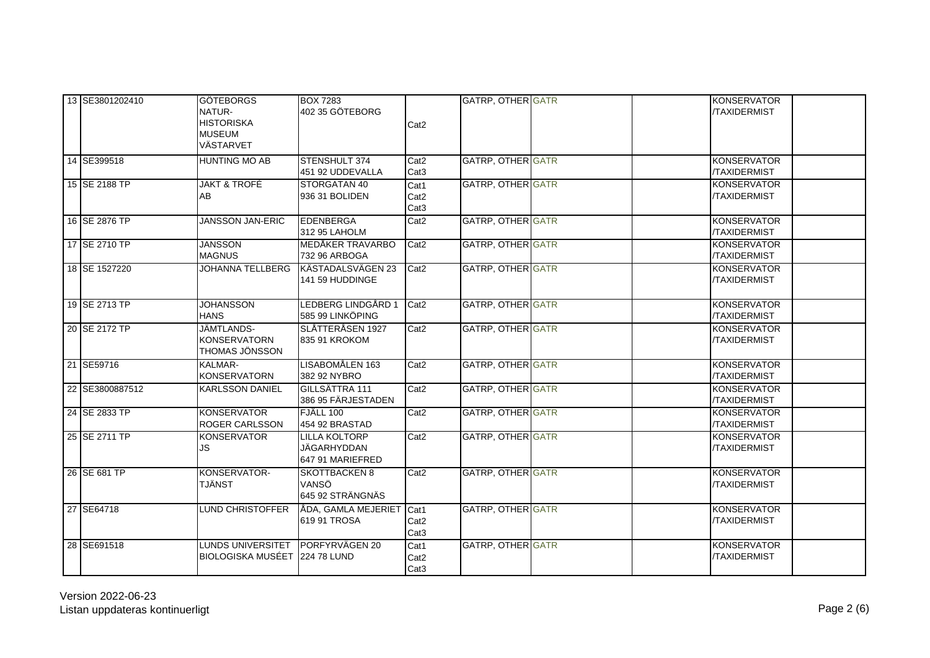| 13 SE3801202410 | <b>GÖTEBORGS</b><br>NATUR-<br><b>HISTORISKA</b><br><b>MUSEUM</b><br>VÄSTARVET | <b>BOX 7283</b><br>402 35 GÖTEBORG                      | Cat <sub>2</sub>                             | <b>GATRP, OTHER GATR</b> | <b>KONSERVATOR</b><br><b>/TAXIDERMIST</b> |
|-----------------|-------------------------------------------------------------------------------|---------------------------------------------------------|----------------------------------------------|--------------------------|-------------------------------------------|
| 14 SE399518     | <b>HUNTING MO AB</b>                                                          | <b>STENSHULT 374</b><br>451 92 UDDEVALLA                | Cat2<br>Cat <sub>3</sub>                     | <b>GATRP, OTHER GATR</b> | <b>KONSERVATOR</b><br><b>/TAXIDERMIST</b> |
| 15 SE 2188 TP   | <b>JAKT &amp; TROFÉ</b><br>AB                                                 | STORGATAN 40<br>936 31 BOLIDEN                          | Cat1<br>Cat <sub>2</sub><br>Cat <sub>3</sub> | <b>GATRP, OTHER GATR</b> | <b>KONSERVATOR</b><br>/TAXIDERMIST        |
| 16 SE 2876 TP   | <b>JANSSON JAN-ERIC</b>                                                       | EDENBERGA<br>312 95 LAHOLM                              | Cat <sub>2</sub>                             | <b>GATRP, OTHER GATR</b> | <b>KONSERVATOR</b><br><b>/TAXIDERMIST</b> |
| 17 SE 2710 TP   | <b>JANSSON</b><br><b>MAGNUS</b>                                               | MEDÅKER TRAVARBO<br>732 96 ARBOGA                       | Cat <sub>2</sub>                             | <b>GATRP, OTHER GATR</b> | <b>KONSERVATOR</b><br>/TAXIDERMIST        |
| 18 SE 1527220   |                                                                               | JOHANNA TELLBERG KÄSTADALSVÄGEN 23<br>141 59 HUDDINGE   | Cat <sub>2</sub>                             | <b>GATRP, OTHER GATR</b> | <b>KONSERVATOR</b><br><b>/TAXIDERMIST</b> |
| 19 SE 2713 TP   | <b>JOHANSSON</b><br><b>HANS</b>                                               | LEDBERG LINDGÅRD 1<br>585 99 LINKÖPING                  | Cat <sub>2</sub>                             | GATRP, OTHER GATR        | <b>KONSERVATOR</b><br>/TAXIDERMIST        |
| 20 SE 2172 TP   | JÄMTLANDS-<br><b>KONSERVATORN</b><br>THOMAS JÖNSSON                           | SLÅTTERÅSEN 1927<br>835 91 KROKOM                       | Cat <sub>2</sub>                             | <b>GATRP, OTHER GATR</b> | <b>KONSERVATOR</b><br><b>/TAXIDERMIST</b> |
| 21 SE59716      | KALMAR-<br><b>KONSERVATORN</b>                                                | LISABOMÅLEN 163<br>382 92 NYBRO                         | Cat <sub>2</sub>                             | <b>GATRP, OTHER GATR</b> | <b>KONSERVATOR</b><br><b>/TAXIDERMIST</b> |
| 22 SE3800887512 | <b>KARLSSON DANIEL</b>                                                        | <b>GILLSÄTTRA 111</b><br>386 95 FÄRJESTADEN             | Cat <sub>2</sub>                             | <b>GATRP, OTHER GATR</b> | KONSERVATOR<br>/TAXIDERMIST               |
| 24 SE 2833 TP   | <b>KONSERVATOR</b><br>ROGER CARLSSON                                          | FJÄLL 100<br>454 92 BRASTAD                             | Cat <sub>2</sub>                             | <b>GATRP, OTHER GATR</b> | <b>KONSERVATOR</b><br>/TAXIDERMIST        |
| 25 SE 2711 TP   | <b>KONSERVATOR</b><br>JS.                                                     | <b>LILLA KOLTORP</b><br>JÄGARHYDDAN<br>647 91 MARIEFRED | Cat2                                         | <b>GATRP, OTHER GATR</b> | <b>KONSERVATOR</b><br>/TAXIDERMIST        |
| 26 SE 681 TP    | KONSERVATOR-<br><b>TJÄNST</b>                                                 | <b>SKOTTBACKEN 8</b><br>VANSÖ<br>645 92 STRÄNGNÄS       | Cat <sub>2</sub>                             | <b>GATRP, OTHER GATR</b> | <b>KONSERVATOR</b><br><b>/TAXIDERMIST</b> |
| 27 SE64718      | <b>LUND CHRISTOFFER</b>                                                       | ÅDA, GAMLA MEJERIET<br>619 91 TROSA                     | Cat1<br>Cat <sub>2</sub><br>Cat <sub>3</sub> | GATRP, OTHER GATR        | <b>KONSERVATOR</b><br><b>/TAXIDERMIST</b> |
| 28 SE691518     | LUNDS UNIVERSITET PORFYRVÄGEN 20<br>BIOLOGISKA MUSÉET 224 78 LUND             |                                                         | Cat1<br>Cat <sub>2</sub><br>Cat <sub>3</sub> | <b>GATRP, OTHER GATR</b> | <b>KONSERVATOR</b><br><b>/TAXIDERMIST</b> |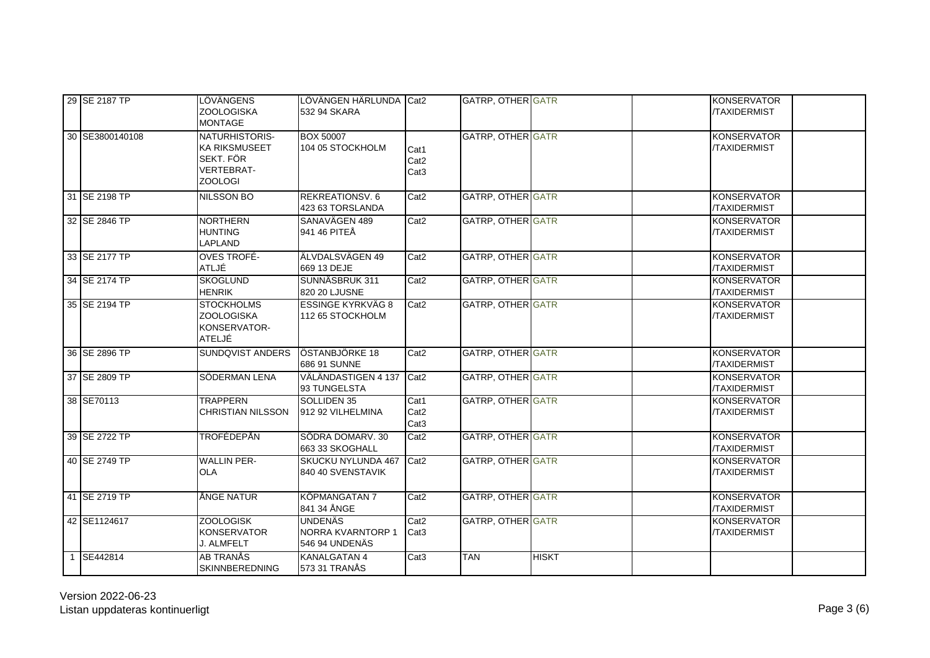| 29 SE 2187 TP   | LÖVÄNGENS<br><b>ZOOLOGISKA</b><br><b>MONTAGE</b>                                    | LÖVÄNGEN HÄRLUNDA Cat2<br>532 94 SKARA                |                                              | <b>GATRP, OTHER GATR</b> |              | <b>KONSERVATOR</b><br><b>/TAXIDERMIST</b> |
|-----------------|-------------------------------------------------------------------------------------|-------------------------------------------------------|----------------------------------------------|--------------------------|--------------|-------------------------------------------|
| 30 SE3800140108 | NATURHISTORIS-<br>KA RIKSMUSEET<br>SEKT. FÖR<br><b>VERTEBRAT-</b><br><b>ZOOLOGI</b> | <b>BOX 50007</b><br>104 05 STOCKHOLM                  | Cat1<br>Cat <sub>2</sub><br>Cat <sub>3</sub> | <b>GATRP, OTHER GATR</b> |              | <b>KONSERVATOR</b><br>/TAXIDERMIST        |
| 31 SE 2198 TP   | <b>NILSSON BO</b>                                                                   | <b>REKREATIONSV.6</b><br>423 63 TORSLANDA             | Cat <sub>2</sub>                             | <b>GATRP, OTHER GATR</b> |              | <b>KONSERVATOR</b><br><b>TAXIDERMIST</b>  |
| 32 SE 2846 TP   | <b>NORTHERN</b><br><b>HUNTING</b><br>LAPLAND                                        | SANAVÄGEN 489<br>941 46 PITEÅ                         | Cat <sub>2</sub>                             | GATRP, OTHER GATR        |              | <b>KONSERVATOR</b><br>/TAXIDERMIST        |
| 33 SE 2177 TP   | <b>OVES TROFÉ-</b><br>ATLJÉ                                                         | ÄLVDALSVÄGEN 49<br>669 13 DEJE                        | Cat <sub>2</sub>                             | <b>GATRP, OTHER GATR</b> |              | <b>KONSERVATOR</b><br><b>TAXIDERMIST</b>  |
| 34 SE 2174 TP   | <b>SKOGLUND</b><br><b>HENRIK</b>                                                    | SUNNÄSBRUK 311<br>820 20 LJUSNE                       | Cat <sub>2</sub>                             | GATRP, OTHER GATR        |              | <b>KONSERVATOR</b><br>/TAXIDERMIST        |
| 35 SE 2194 TP   | <b>STOCKHOLMS</b><br><b>ZOOLOGISKA</b><br>KONSERVATOR-<br>ATELJÉ                    | <b>ESSINGE KYRKVÄG 8</b><br>112 65 STOCKHOLM          | Cat <sub>2</sub>                             | <b>GATRP, OTHER GATR</b> |              | <b>KONSERVATOR</b><br><b>/TAXIDERMIST</b> |
| 36 SE 2896 TP   | SUNDQVIST ANDERS ÖSTANBJÖRKE 18                                                     | 686 91 SUNNE                                          | Cat <sub>2</sub>                             | GATRP, OTHER GATR        |              | <b>KONSERVATOR</b><br><b>/TAXIDERMIST</b> |
| 37 SE 2809 TP   | SÖDERMAN LENA                                                                       | VÄLÄNDASTIGEN 4 137<br>93 TUNGELSTA                   | Cat2                                         | <b>GATRP, OTHER GATR</b> |              | <b>KONSERVATOR</b><br><b>TAXIDERMIST</b>  |
| 38 SE70113      | <b>TRAPPERN</b><br><b>CHRISTIAN NILSSON</b>                                         | SOLLIDEN 35<br>912 92 VILHELMINA                      | Cat1<br>Cat <sub>2</sub><br>Cat <sub>3</sub> | GATRP, OTHER GATR        |              | <b>KONSERVATOR</b><br><b>/TAXIDERMIST</b> |
| 39 SE 2722 TP   | TROFÉDEPÅN                                                                          | SÖDRA DOMARV. 30<br>663 33 SKOGHALL                   | Cat <sub>2</sub>                             | <b>GATRP, OTHER GATR</b> |              | <b>KONSERVATOR</b><br><b>TAXIDERMIST</b>  |
| 40 SE 2749 TP   | <b>WALLIN PER-</b><br><b>OLA</b>                                                    | SKUCKU NYLUNDA 467<br>840 40 SVENSTAVIK               | Cat <sub>2</sub>                             | <b>GATRP, OTHER GATR</b> |              | <b>KONSERVATOR</b><br><b>TAXIDERMIST</b>  |
| 41 SE 2719 TP   | ÅNGE NATUR                                                                          | <b>KÖPMANGATAN 7</b><br>841 34 ÅNGE                   | Cat <sub>2</sub>                             | <b>GATRP, OTHER GATR</b> |              | <b>KONSERVATOR</b><br>/TAXIDERMIST        |
| 42 SE1124617    | <b>ZOOLOGISK</b><br><b>KONSERVATOR</b><br>J. ALMFELT                                | <b>UNDENÄS</b><br>NORRA KVARNTORP 1<br>546 94 UNDENÄS | Cat <sub>2</sub><br>Cat <sub>3</sub>         | <b>GATRP, OTHER GATR</b> |              | <b>KONSERVATOR</b><br><b>TAXIDERMIST</b>  |
| SE442814        | <b>AB TRANÅS</b><br>SKINNBEREDNING                                                  | <b>KANALGATAN 4</b><br>573 31 TRANÅS                  | Cat <sub>3</sub>                             | <b>TAN</b>               | <b>HISKT</b> |                                           |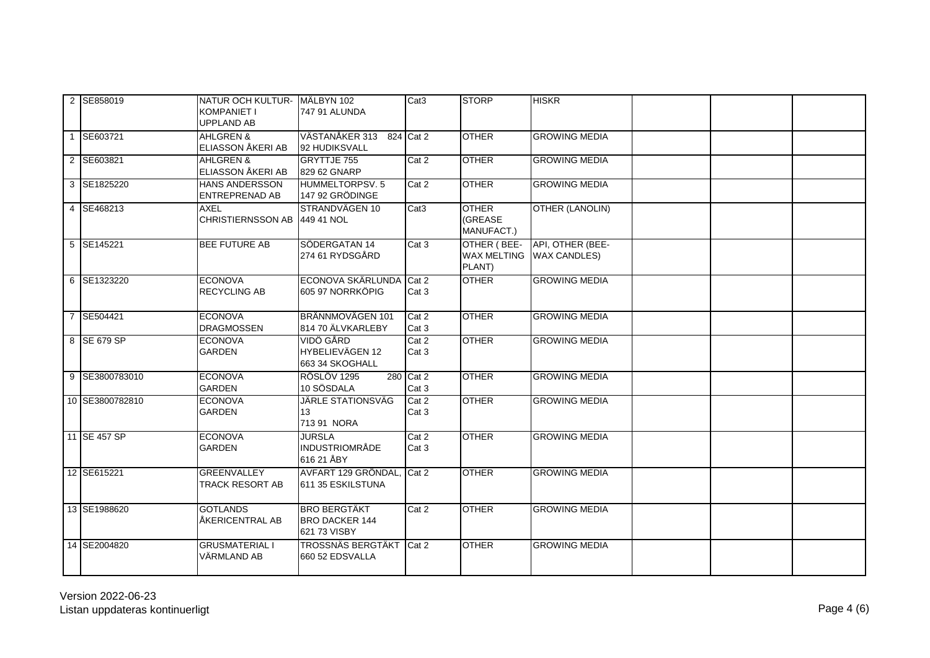| 2 SE858019      | NATUR OCH KULTUR- MÄLBYN 102<br>KOMPANIET I<br><b>UPPLAND AB</b> | 747 91 ALUNDA                                                | Cat <sub>3</sub>   | <b>STORP</b>                                | <b>HISKR</b>                           |  |  |
|-----------------|------------------------------------------------------------------|--------------------------------------------------------------|--------------------|---------------------------------------------|----------------------------------------|--|--|
| 1 SE603721      | <b>AHLGREN &amp;</b><br>ELIASSON ÅKERI AB                        | VÄSTANÅKER 313 824 Cat 2<br>92 HUDIKSVALL                    |                    | <b>OTHER</b>                                | <b>GROWING MEDIA</b>                   |  |  |
| 2 SE603821      | AHLGREN &<br>ELIASSON ÅKERI AB                                   | <b>GRYTTJE 755</b><br>829 62 GNARP                           | Cat 2              | <b>OTHER</b>                                | <b>GROWING MEDIA</b>                   |  |  |
| 3 SE1825220     | HANS ANDERSSON<br><b>ENTREPRENAD AB</b>                          | HUMMELTORPSV. 5<br>147 92 GRÖDINGE                           | Cat 2              | <b>OTHER</b>                                | <b>GROWING MEDIA</b>                   |  |  |
| 4 SE468213      | AXEL<br>CHRISTIERNSSON AB 449 41 NOL                             | STRANDVÄGEN 10                                               | Cat <sub>3</sub>   | <b>OTHER</b><br>(GREASE<br>MANUFACT.)       | OTHER (LANOLIN)                        |  |  |
| 5 SE145221      | <b>BEE FUTURE AB</b>                                             | SÖDERGATAN 14<br>274 61 RYDSGÅRD                             | Cat 3              | OTHER (BEE-<br><b>WAX MELTING</b><br>PLANT) | API, OTHER (BEE-<br><b>WAX CANDLES</b> |  |  |
| 6 SE1323220     | <b>ECONOVA</b><br><b>RECYCLING AB</b>                            | ECONOVA SKÄRLUNDA Cat 2<br>605 97 NORRKÖPIG                  | Cat 3              | <b>OTHER</b>                                | <b>GROWING MEDIA</b>                   |  |  |
| 7 SE504421      | <b>ECONOVA</b><br><b>DRAGMOSSEN</b>                              | BRÄNNMOVÄGEN 101<br>814 70 ÄLVKARLEBY                        | Cat 2<br>Cat 3     | <b>OTHER</b>                                | <b>GROWING MEDIA</b>                   |  |  |
| 8 SE 679 SP     | <b>ECONOVA</b><br>GARDEN                                         | VIDÖ GÅRD<br>HYBELIEVÄGEN 12<br>663 34 SKOGHALL              | Cat 2<br>Cat 3     | <b>OTHER</b>                                | <b>GROWING MEDIA</b>                   |  |  |
| 9 SE3800783010  | <b>ECONOVA</b><br><b>GARDEN</b>                                  | RÖSLÖV 1295<br>10 SÖSDALA                                    | 280 Cat 2<br>Cat 3 | <b>OTHER</b>                                | <b>GROWING MEDIA</b>                   |  |  |
| 10 SE3800782810 | <b>ECONOVA</b><br><b>GARDEN</b>                                  | <b>JÄRLE STATIONSVÄG</b><br>13<br>713 91 NORA                | Cat 2<br>Cat 3     | <b>OTHER</b>                                | <b>GROWING MEDIA</b>                   |  |  |
| 11 SE 457 SP    | <b>ECONOVA</b><br>GARDEN                                         | <b>JURSLA</b><br><b>INDUSTRIOMRÅDE</b><br>616 21 ÅBY         | Cat 2<br>Cat 3     | <b>OTHER</b>                                | <b>GROWING MEDIA</b>                   |  |  |
| 12 SE615221     | <b>GREENVALLEY</b><br><b>TRACK RESORT AB</b>                     | AVFART 129 GRÖNDAL, Cat 2<br>611 35 ESKILSTUNA               |                    | <b>OTHER</b>                                | <b>GROWING MEDIA</b>                   |  |  |
| 13 SE1988620    | <b>GOTLANDS</b><br>ÅKERICENTRAL AB                               | <b>BRO BERGTÄKT</b><br><b>BRO DACKER 144</b><br>621 73 VISBY | Cat 2              | <b>OTHER</b>                                | <b>GROWING MEDIA</b>                   |  |  |
| 14 SE2004820    | <b>GRUSMATERIAL I</b><br>VÄRMLAND AB                             | TROSSNÄS BERGTÄKT Cat 2<br>660 52 EDSVALLA                   |                    | <b>OTHER</b>                                | <b>GROWING MEDIA</b>                   |  |  |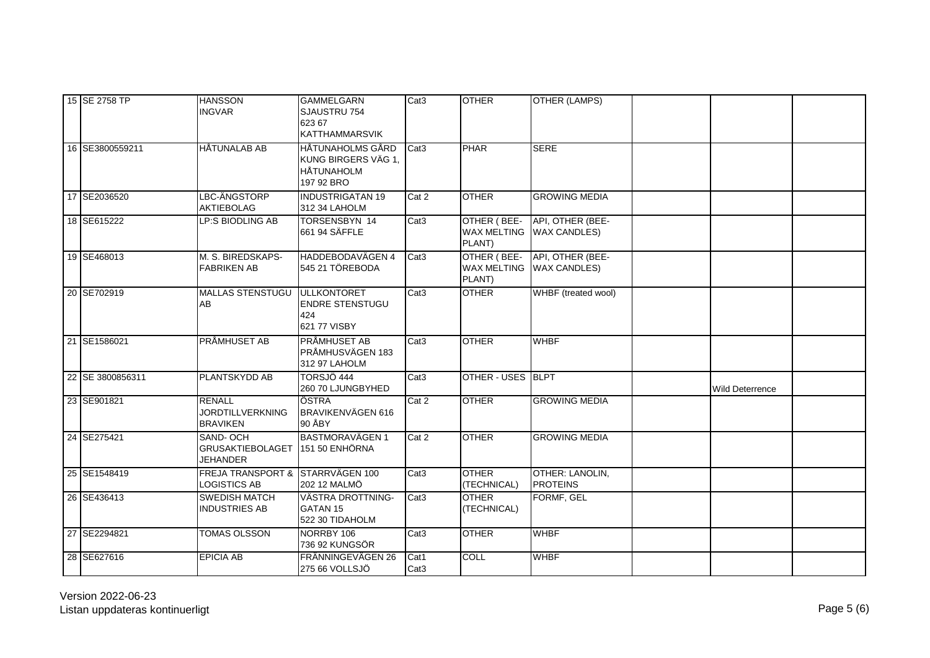| 15 SE 2758 TP    | <b>HANSSON</b><br><b>INGVAR</b>                                | <b>GAMMELGARN</b><br>SJAUSTRU 754<br>623 67<br>KATTHAMMARSVIK              | Cat <sub>3</sub>         | <b>OTHER</b>                                | <b>OTHER (LAMPS)</b>                         |                 |  |
|------------------|----------------------------------------------------------------|----------------------------------------------------------------------------|--------------------------|---------------------------------------------|----------------------------------------------|-----------------|--|
| 16 SE3800559211  | <b>HÄTUNALAB AB</b>                                            | HÅTUNAHOLMS GÅRD<br>KUNG BIRGERS VÄG 1,<br><b>HÅTUNAHOLM</b><br>197 92 BRO | Cat3                     | <b>PHAR</b>                                 | <b>SERE</b>                                  |                 |  |
| 17 SE2036520     | LBC-ÄNGSTORP<br><b>AKTIEBOLAG</b>                              | <b>INDUSTRIGATAN 19</b><br>312 34 LAHOLM                                   | Cat 2                    | <b>OTHER</b>                                | <b>GROWING MEDIA</b>                         |                 |  |
| 18 SE615222      | LP:S BIODLING AB                                               | TORSENSBYN 14<br>661 94 SÄFFLE                                             | Cat <sub>3</sub>         | OTHER (BEE-<br>PLANT)                       | API, OTHER (BEE-<br>WAX MELTING WAX CANDLES) |                 |  |
| 19 SE468013      | M. S. BIREDSKAPS-<br><b>FABRIKEN AB</b>                        | <b>HADDEBODAVÄGEN 4</b><br>545 21 TÖREBODA                                 | Cat <sub>3</sub>         | OTHER (BEE-<br><b>WAX MELTING</b><br>PLANT) | API, OTHER (BEE-<br><b>WAX CANDLES)</b>      |                 |  |
| 20 SE702919      | MALLAS STENSTUGU ULLKONTORET<br>AB                             | <b>ENDRE STENSTUGU</b><br>424<br>621 77 VISBY                              | Cat <sub>3</sub>         | <b>OTHER</b>                                | WHBF (treated wool)                          |                 |  |
| 21 SE1586021     | <b>PRÅMHUSET AB</b>                                            | <b>PRÅMHUSET AB</b><br>PRÅMHUSVÄGEN 183<br>312 97 LAHOLM                   | Cat <sub>3</sub>         | <b>OTHER</b>                                | <b>WHBF</b>                                  |                 |  |
| 22 SE 3800856311 | PLANTSKYDD AB                                                  | TORSJÖ 444<br>260 70 LJUNGBYHED                                            | Cat <sub>3</sub>         | OTHER - USES BLPT                           |                                              | Wild Deterrence |  |
| 23 SE901821      | <b>RENALL</b><br><b>JORDTILLVERKNING</b><br><b>BRAVIKEN</b>    | ÖSTRA<br>BRAVIKENVÄGEN 616<br>90 ÅBY                                       | Cat 2                    | <b>OTHER</b>                                | <b>GROWING MEDIA</b>                         |                 |  |
| 24 SE275421      | SAND-OCH<br>GRUSAKTIEBOLAGET 151 50 ENHÖRNA<br><b>JEHANDER</b> | <b>BASTMORAVÄGEN 1</b>                                                     | Cat 2                    | <b>OTHER</b>                                | <b>GROWING MEDIA</b>                         |                 |  |
| 25 SE1548419     | FREJA TRANSPORT & STARRVÄGEN 100<br><b>LOGISTICS AB</b>        | 202 12 MALMÖ                                                               | Cat <sub>3</sub>         | <b>OTHER</b><br>(TECHNICAL)                 | OTHER: LANOLIN,<br><b>PROTEINS</b>           |                 |  |
| 26 SE436413      | <b>SWEDISH MATCH</b><br><b>INDUSTRIES AB</b>                   | VÄSTRA DROTTNING-<br><b>GATAN 15</b><br>522 30 TIDAHOLM                    | Cat <sub>3</sub>         | <b>OTHER</b><br>(TECHNICAL)                 | FORMF, GEL                                   |                 |  |
| 27 SE2294821     | TOMAS OLSSON                                                   | NORRBY 106<br>736 92 KUNGSÖR                                               | Cat <sub>3</sub>         | <b>OTHER</b>                                | <b>WHBF</b>                                  |                 |  |
| 28 SE627616      | <b>EPICIA AB</b>                                               | FRÄNNINGEVÄGEN 26<br>275 66 VOLLSJÖ                                        | Cat1<br>Cat <sub>3</sub> | <b>COLL</b>                                 | <b>WHBF</b>                                  |                 |  |